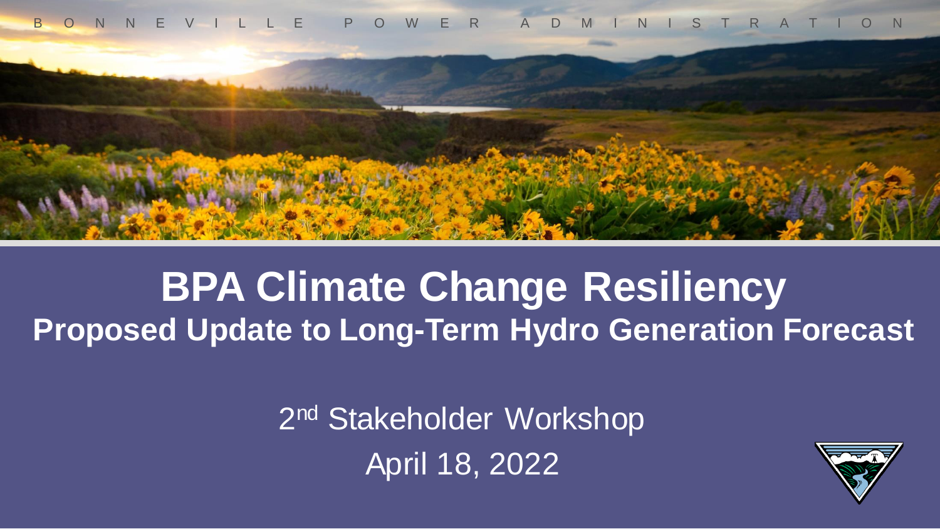



#### **BPA Climate Change Resiliency Proposed Update to Long-Term Hydro Generation Forecast**

2<sup>nd</sup> Stakeholder Workshop April 18, 2022

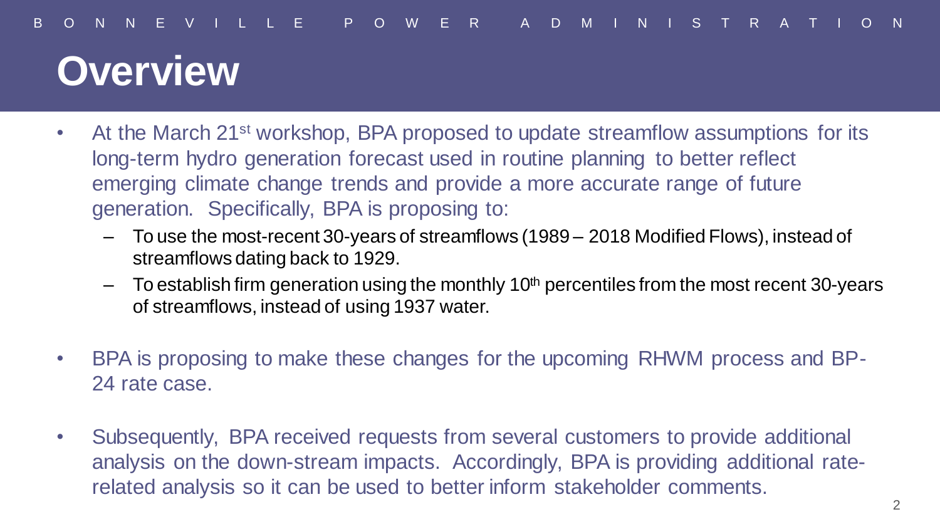#### **Overview**

- At the March 21<sup>st</sup> workshop, BPA proposed to update streamflow assumptions for its long-term hydro generation forecast used in routine planning to better reflect emerging climate change trends and provide a more accurate range of future generation. Specifically, BPA is proposing to:
	- To use the most-recent 30-years of streamflows (1989 2018 Modified Flows), instead of streamflows dating back to 1929.
	- $-$  To establish firm generation using the monthly 10<sup>th</sup> percentiles from the most recent 30-years of streamflows, instead of using 1937 water.
- BPA is proposing to make these changes for the upcoming RHWM process and BP-24 rate case.
- Subsequently, BPA received requests from several customers to provide additional analysis on the down-stream impacts. Accordingly, BPA is providing additional raterelated analysis so it can be used to better inform stakeholder comments.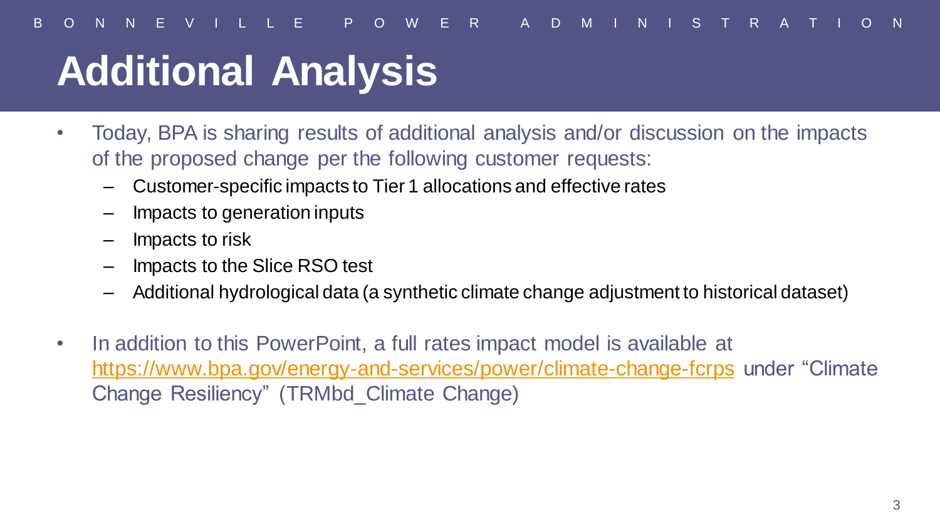## **Additional Analysis**

- Today, BPA is sharing results of additional analysis and/or discussion on the impacts of the proposed change per the following customer requests:
	- Customer-specific impacts to Tier 1 allocations and effective rates
	- Impacts to generation inputs
	- Impacts to risk
	- Impacts to the Slice RSO test
	- Additional hydrological data (a synthetic climate change adjustment to historical dataset)
- In addition to this PowerPoint, a full rates impact model is available at <https://www.bpa.gov/energy-and-services/power/climate-change-fcrps> under "Climate Change Resiliency" (TRMbd\_Climate Change)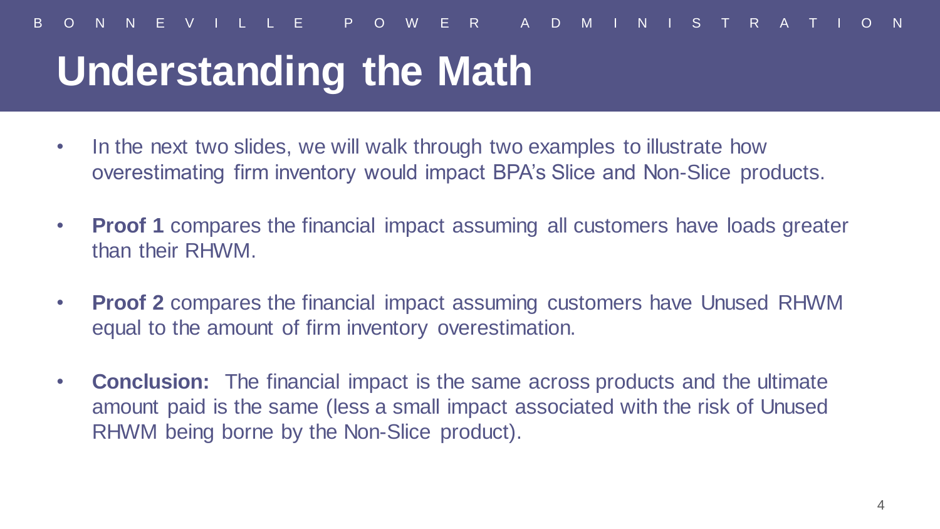## **Understanding the Math**

- In the next two slides, we will walk through two examples to illustrate how overestimating firm inventory would impact BPA's Slice and Non-Slice products.
- **Proof 1** compares the financial impact assuming all customers have loads greater than their RHWM.
- **Proof 2** compares the financial impact assuming customers have Unused RHWM equal to the amount of firm inventory overestimation.
- **Conclusion:** The financial impact is the same across products and the ultimate amount paid is the same (less a small impact associated with the risk of Unused RHWM being borne by the Non-Slice product).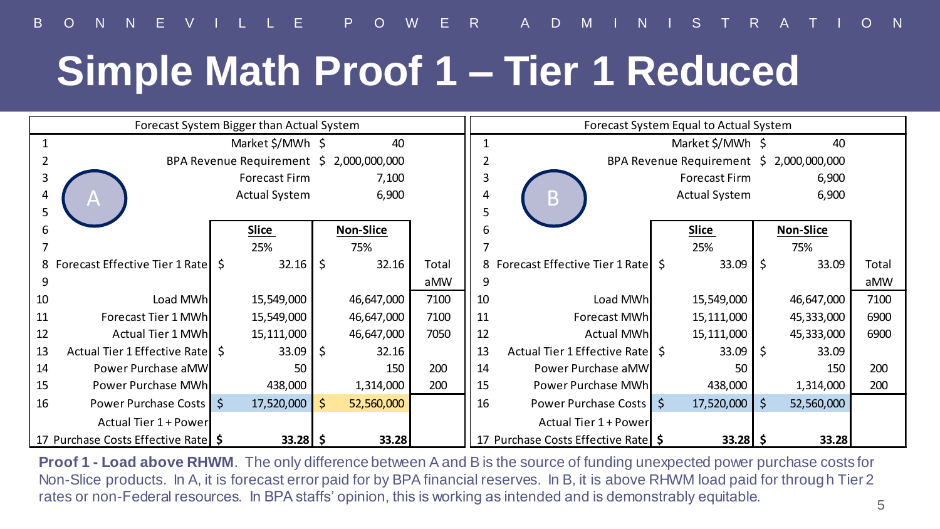# **Simple Math Proof 1 – Tier 1 Reduced**

| Forecast System Bigger than Actual System |                                    |  |                                     |       |                  |       |                           | Forecast System Equal to Actual System   |  |                      |       |                  |       |
|-------------------------------------------|------------------------------------|--|-------------------------------------|-------|------------------|-------|---------------------------|------------------------------------------|--|----------------------|-------|------------------|-------|
| Market \$/MWh \$<br>40                    |                                    |  |                                     |       |                  |       | Market \$/MWh \$<br>40    |                                          |  |                      |       |                  |       |
| BPA Revenue Requirement $$2,000,000,000$  |                                    |  |                                     |       |                  |       |                           | BPA Revenue Requirement $$2,000,000,000$ |  |                      |       |                  |       |
|                                           |                                    |  | <b>Forecast Firm</b>                |       | 7,100            |       |                           |                                          |  | <b>Forecast Firm</b> |       | 6,900            |       |
| Actual System<br>Α                        |                                    |  |                                     | 6,900 |                  |       | <b>Actual System</b><br>B |                                          |  |                      | 6,900 |                  |       |
| 5                                         |                                    |  |                                     |       |                  |       |                           |                                          |  |                      |       |                  |       |
| 6                                         |                                    |  | <b>Slice</b>                        |       | <b>Non-Slice</b> |       |                           |                                          |  | <b>Slice</b>         |       | <b>Non-Slice</b> |       |
|                                           |                                    |  | 25%                                 |       | 75%              |       |                           |                                          |  | 25%                  |       | 75%              |       |
|                                           | 8 Forecast Effective Tier 1 Rate S |  | $32.16$ $\overline{\phantom{1}}$ \$ |       | 32.16            | Total |                           | 8 Forecast Effective Tier 1 Rate S       |  | 33.09                | l \$  | 33.09            | Total |
| 9                                         |                                    |  |                                     |       |                  | aMW   |                           |                                          |  |                      |       |                  | aMW   |
| 10                                        | Load MWh                           |  | 15,549,000                          |       | 46,647,000       | 7100  | 10                        | Load MWh                                 |  | 15,549,000           |       | 46,647,000       | 7100  |
| 11                                        | Forecast Tier 1 MWh                |  | 15,549,000                          |       | 46,647,000       | 7100  | 11                        | Forecast MWh                             |  | 15,111,000           |       | 45,333,000       | 6900  |
| 12                                        | Actual Tier 1 MWh                  |  | 15,111,000                          |       | 46,647,000       | 7050  | 12                        | <b>Actual MWh</b>                        |  | 15,111,000           |       | 45,333,000       | 6900  |
| 13                                        | Actual Tier 1 Effective Rate S     |  | 33.09                               | Ŝ.    | 32.16            |       | 13                        | Actual Tier 1 Effective Ratel S          |  | 33.09                |       | 33.09            |       |
| 14                                        | Power Purchase aMW                 |  | 50                                  |       | 150              | 200   | 14                        | Power Purchase aMW                       |  | 50                   |       | 150              | 200   |
| 15                                        | Power Purchase MWh                 |  | 438,000                             |       | 1,314,000        | 200   | 15                        | Power Purchase MWh                       |  | 438,000              |       | 1,314,000        | 200   |
| 16                                        | Power Purchase Costs   \$          |  | 17,520,000                          | Ŝ.    | 52,560,000       |       | 16                        | Power Purchase Costs   \$                |  | 17,520,000 \$        |       | 52,560,000       |       |
|                                           | Actual Tier 1 + Power              |  |                                     |       |                  |       |                           | Actual Tier 1 + Power                    |  |                      |       |                  |       |
| 17 Purchase Costs Effective Rate \$       |                                    |  | $33.28$ \$                          |       | 33.28            |       |                           | 17 Purchase Costs Effective Rate   \$    |  | $33.28$ \$           |       | 33.28            |       |

**Proof 1 - Load above RHWM**. The only difference between A and B is the source of funding unexpected power purchase costs for Non-Slice products. In A, it is forecast error paid for by BPA financial reserves. In B, it is above RHWM load paid for throug h Tier 2 rates or non-Federal resources. In BPA staffs' opinion, this is working as intended and is demonstrably equitable.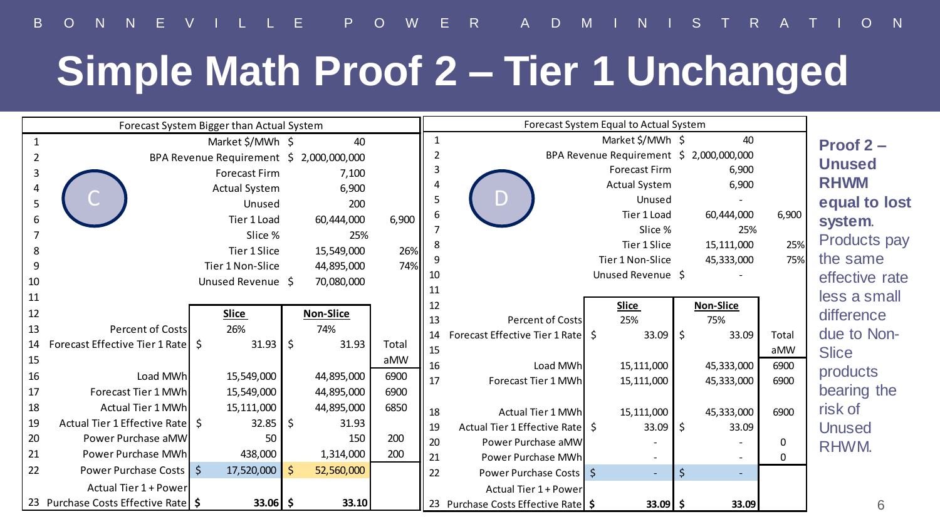# **Simple Math Proof 2 – Tier 1 Unchanged**

| Forecast System Bigger than Actual System |                                     |                                          |  |                  |       |              | Forecast System Equal to Actual System |  |                                          |         |                  |          |                |
|-------------------------------------------|-------------------------------------|------------------------------------------|--|------------------|-------|--------------|----------------------------------------|--|------------------------------------------|---------|------------------|----------|----------------|
|                                           |                                     | Market \$/MWh \$                         |  | 40               |       | $\mathbf{1}$ |                                        |  | Market \$/MWh \$                         |         | 40               |          | Proof $2 -$    |
|                                           |                                     | BPA Revenue Requirement \$ 2,000,000,000 |  |                  |       |              |                                        |  | BPA Revenue Requirement \$ 2,000,000,000 |         |                  |          | <b>Unused</b>  |
|                                           |                                     | <b>Forecast Firm</b>                     |  | 7,100            |       |              |                                        |  | <b>Forecast Firm</b>                     |         | 6,900            |          |                |
|                                           |                                     | <b>Actual System</b>                     |  | 6,900            |       |              |                                        |  | <b>Actual System</b>                     |         | 6,900            |          | <b>RHWM</b>    |
| 5                                         | Unused                              |                                          |  | 200              |       | 5            | D                                      |  | Unused                                   |         |                  |          | equal to lost  |
| 6                                         |                                     | Tier 1 Load                              |  | 60,444,000       | 6,900 | 6            |                                        |  | Tier 1 Load                              |         | 60,444,000       | 6,900    | system.        |
|                                           |                                     | Slice %                                  |  | 25%              |       |              |                                        |  | Slice %                                  |         | 25%              |          | Products pay   |
| 8                                         |                                     | Tier 1 Slice                             |  | 15,549,000       | 26%   |              |                                        |  | Tier 1 Slice                             |         | 15,111,000       | 25%      | the same       |
| 9                                         |                                     | Tier 1 Non-Slice                         |  | 44,895,000       | 74%   | 10           |                                        |  | Tier 1 Non-Slice<br>Unused Revenue \$    |         | 45,333,000       | 75%      |                |
| 10                                        |                                     | Unused Revenue \$                        |  | 70,080,000       |       | 11           |                                        |  |                                          |         |                  |          | effective rate |
| 11                                        |                                     |                                          |  |                  |       | 12           |                                        |  | Slice                                    |         | <b>Non-Slice</b> |          | less a small   |
| 12                                        |                                     | Slice                                    |  | <b>Non-Slice</b> |       | 13           | <b>Percent of Costs</b>                |  | 25%                                      |         | 75%              |          | difference     |
| 13                                        | <b>Percent of Costs</b>             | 26%                                      |  | 74%              |       | 14           | Forecast Effective Tier 1 Rate S       |  | $33.09$ \$                               |         | 33.09            | Total    | due to Non-    |
| 14                                        | Forecast Effective Tier 1 Rate S    | $31.93$ S                                |  | 31.93            | Total | 15           |                                        |  |                                          |         |                  | aMW      | <b>Slice</b>   |
| 15                                        |                                     |                                          |  |                  | aMW   | 16           | Load MWh                               |  | 15,111,000                               |         | 45,333,000       | 6900     |                |
| 16                                        | Load MWh                            | 15,549,000                               |  | 44,895,000       | 6900  | 17           | Forecast Tier 1 MWh                    |  | 15,111,000                               |         | 45,333,000       | 6900     | products       |
| 17                                        | Forecast Tier 1 MWh                 | 15,549,000                               |  | 44,895,000       | 6900  |              |                                        |  |                                          |         |                  |          | bearing the    |
| 18                                        | <b>Actual Tier 1 MWh</b>            | 15,111,000                               |  | 44,895,000       | 6850  | 18           | Actual Tier 1 MWh                      |  | 15,111,000                               |         | 45,333,000       | 6900     | risk of        |
| 19                                        | Actual Tier 1 Effective Rate S      | $32.85$ \$                               |  | 31.93            |       | 19           | Actual Tier 1 Effective Rate \$        |  | 33.09                                    | - Ś     | 33.09            |          | <b>Unused</b>  |
| 20                                        | Power Purchase aMW                  | 50                                       |  | 150              | 200   | 20           | Power Purchase aMW                     |  |                                          |         |                  | $\Omega$ | RHWM.          |
| 21                                        | Power Purchase MWh                  | 438,000                                  |  | 1,314,000        | 200   | 21           | Power Purchase MWh                     |  |                                          |         | $\sim$           | $\Omega$ |                |
| 22                                        | Power Purchase Costs 5              | $17,520,000$ \$                          |  | 52,560,000       |       | 22           | Power Purchase Costs 5                 |  |                                          | $\zeta$ | $\sim$           |          |                |
|                                           | Actual Tier 1 + Power               |                                          |  |                  |       |              | Actual Tier 1 + Power                  |  |                                          |         |                  |          |                |
|                                           | 23 Purchase Costs Effective Rate \$ | $33.06$ \$                               |  | 33.10            |       |              | 23 Purchase Costs Effective Rate \$    |  | $33.09$ \$                               |         | 33.09            |          | hi             |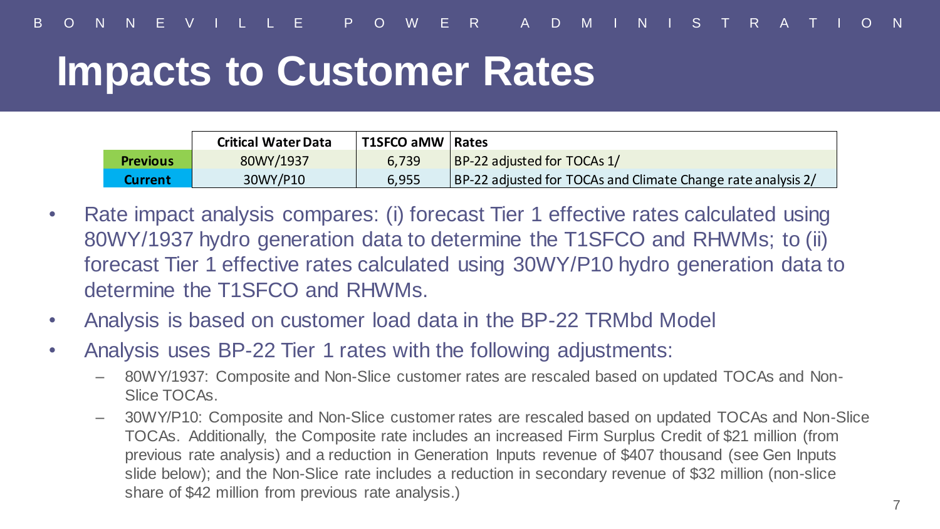#### **Impacts to Customer Rates**

|                 | <b>Critical Water Data</b> | T1SFCO aMW   Rates |                                                              |
|-----------------|----------------------------|--------------------|--------------------------------------------------------------|
| <b>Previous</b> | 80WY/1937                  | 6.739              | BP-22 adjusted for TOCAs 1/                                  |
| Current         | 30WY/P10                   | 6.955              | BP-22 adjusted for TOCAs and Climate Change rate analysis 2/ |

- Rate impact analysis compares: (i) forecast Tier 1 effective rates calculated using 80WY/1937 hydro generation data to determine the T1SFCO and RHWMs; to (ii) forecast Tier 1 effective rates calculated using 30WY/P10 hydro generation data to determine the T1SFCO and RHWMs.
- Analysis is based on customer load data in the BP-22 TRMbd Model
- Analysis uses BP-22 Tier 1 rates with the following adjustments:
	- 80WY/1937: Composite and Non-Slice customer rates are rescaled based on updated TOCAs and Non-Slice TOCAs.
	- 30WY/P10: Composite and Non-Slice customer rates are rescaled based on updated TOCAs and Non-Slice TOCAs. Additionally, the Composite rate includes an increased Firm Surplus Credit of \$21 million (from previous rate analysis) and a reduction in Generation Inputs revenue of \$407 thousand (see Gen Inputs slide below); and the Non-Slice rate includes a reduction in secondary revenue of \$32 million (non-slice share of \$42 million from previous rate analysis.)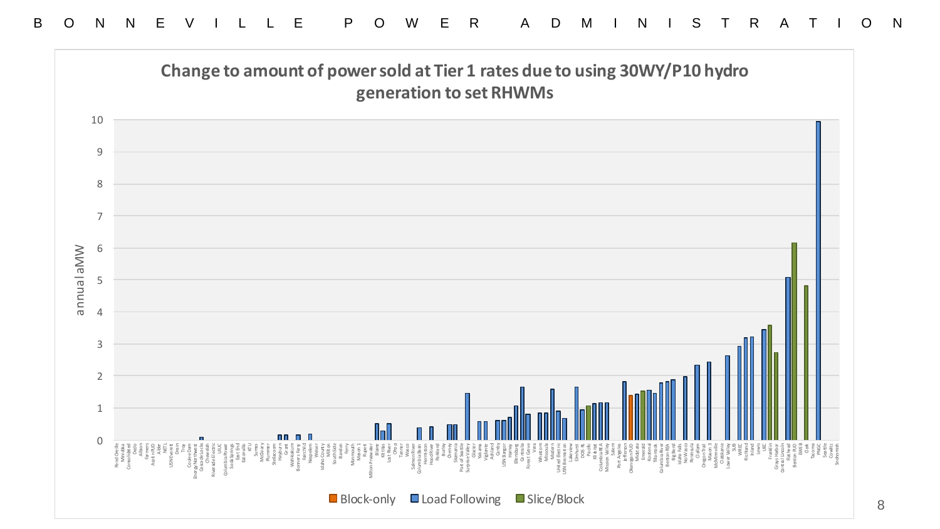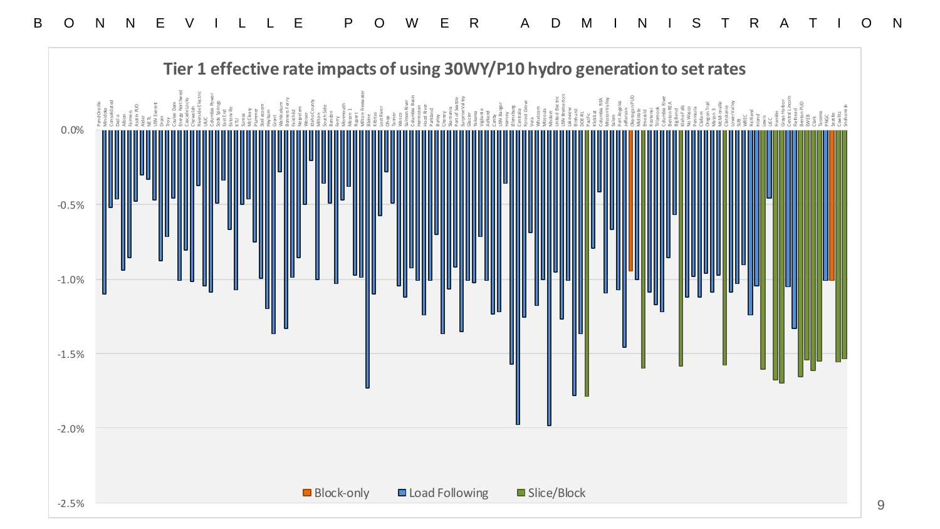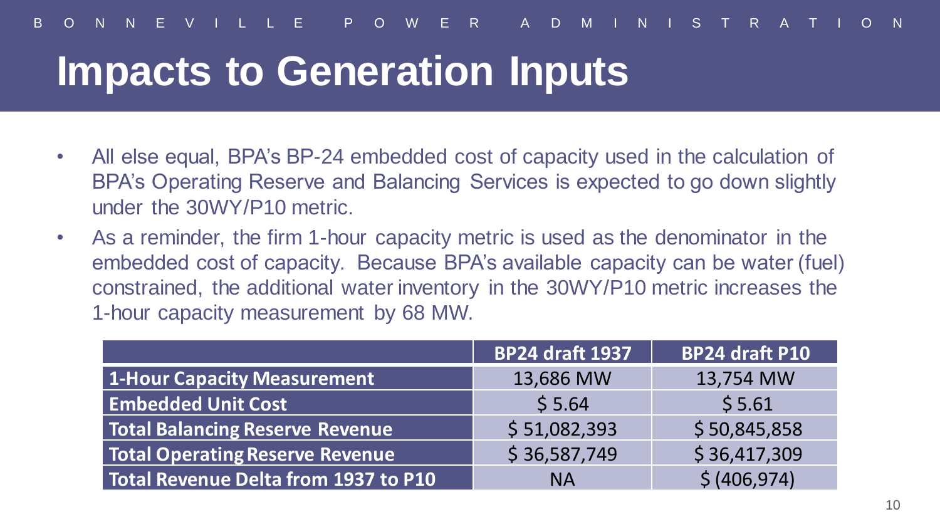#### **Impacts to Generation Inputs**

- All else equal, BPA's BP-24 embedded cost of capacity used in the calculation of BPA's Operating Reserve and Balancing Services is expected to go down slightly under the 30WY/P10 metric.
- As a reminder, the firm 1-hour capacity metric is used as the denominator in the embedded cost of capacity. Because BPA's available capacity can be water (fuel) constrained, the additional water inventory in the 30WY/P10 metric increases the 1-hour capacity measurement by 68 MW.

|                                        | <b>BP24 draft 1937</b> | <b>BP24 draft P10</b> |  |  |
|----------------------------------------|------------------------|-----------------------|--|--|
| 1-Hour Capacity Measurement            | 13,686 MW              | 13,754 MW             |  |  |
| <b>Embedded Unit Cost</b>              | \$5.64                 | \$5.61                |  |  |
| <b>Total Balancing Reserve Revenue</b> | \$51,082,393           | \$50,845,858          |  |  |
| <b>Total Operating Reserve Revenue</b> | \$36,587,749           | \$36,417,309          |  |  |
| Total Revenue Delta from 1937 to P10   | <b>NA</b>              | \$ (406, 974)         |  |  |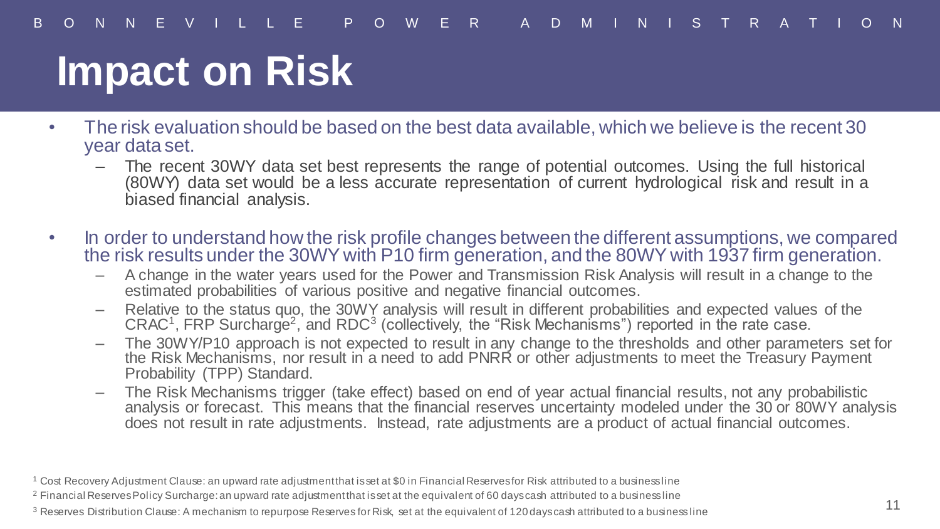### **Impact on Risk**

- The risk evaluation should be based on the best data available, which we believe is the recent 30 year data set.
	- The recent 30WY data set best represents the range of potential outcomes. Using the full historical (80WY) data set would be a less accurate representation of current hydrological risk and result in a biased financial analysis.
- In order to understand how the risk profile changes between the different assumptions, we compared the risk results under the 30WY with P10 firm generation, and the 80WY with 1937 firm generation.
	- A change in the water years used for the Power and Transmission Risk Analysis will result in a change to the estimated probabilities of various positive and negative financial outcomes.
	- Relative to the status quo, the 30WY analysis will result in different probabilities and expected values of the  $C R AC<sup>1</sup>$ , FRP Surcharge<sup>2</sup>, and RDC<sup>3</sup> (collectively, the "Risk Mechanisms") reported in the rate case.
	- The 30WY/P10 approach is not expected to result in any change to the thresholds and other parameters set for the Risk Mechanisms, nor result in a need to add PNRR or other adjustments to meet the Treasury Payment Probability (TPP) Standard.
	- The Risk Mechanisms trigger (take effect) based on end of year actual financial results, not any probabilistic analysis or forecast. This means that the financial reserves uncertainty modeled under the 30 or 80WY analysis does not result in rate adjustments. Instead, rate adjustments are a product of actual financial outcomes.

 $1$  Cost Recovery Adjustment Clause: an upward rate adjustment that is set at \$0 in Financial Reserves for Risk attributed to a business line

<sup>&</sup>lt;sup>2</sup> Financial Reserves Policy Surcharge: an upward rate adjustment that is set at the equivalent of 60 days cash attributed to a business line

<sup>&</sup>lt;sup>3</sup> Reserves Distribution Clause: A mechanism to repurpose Reserves for Risk, set at the equivalent of 120 days cash attributed to a business line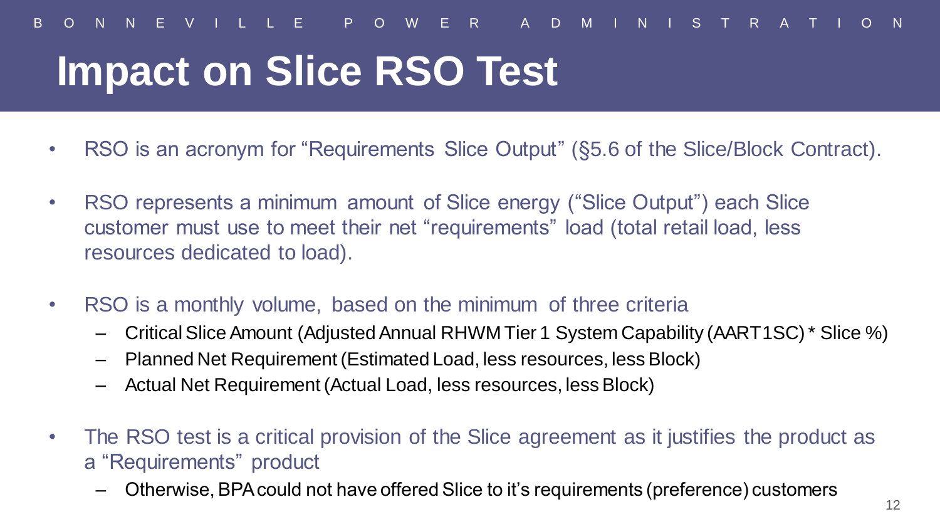- RSO is an acronym for "Requirements Slice Output" (§5.6 of the Slice/Block Contract).
- RSO represents a minimum amount of Slice energy ("Slice Output") each Slice customer must use to meet their net "requirements" load (total retail load, less resources dedicated to load).
- RSO is a monthly volume, based on the minimum of three criteria
	- Critical Slice Amount (Adjusted Annual RHWM Tier 1 System Capability (AART1SC) \* Slice %)
	- Planned Net Requirement (Estimated Load, less resources, less Block)
	- Actual Net Requirement (Actual Load, less resources, less Block)
- The RSO test is a critical provision of the Slice agreement as it justifies the product as a "Requirements" product
	- Otherwise, BPA could not have offered Slice to it's requirements (preference) customers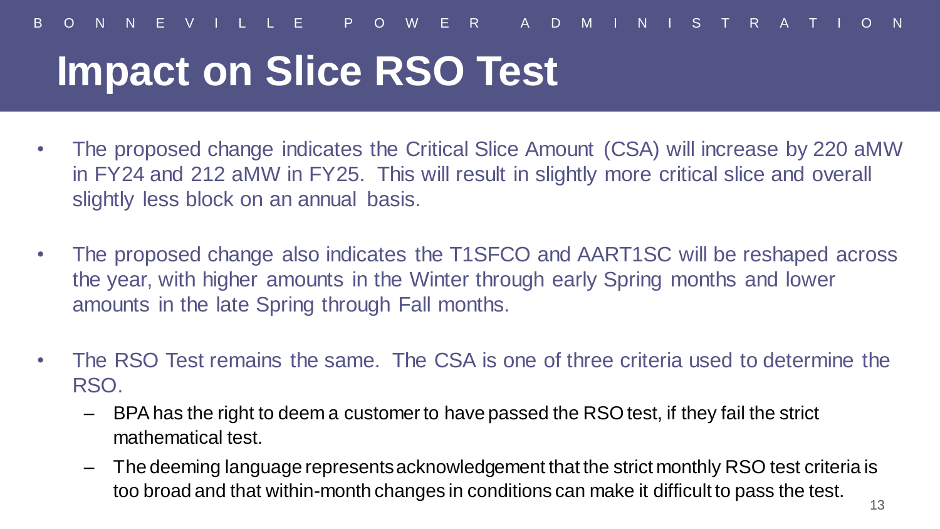- The proposed change indicates the Critical Slice Amount (CSA) will increase by 220 aMW in FY24 and 212 aMW in FY25. This will result in slightly more critical slice and overall slightly less block on an annual basis.
- The proposed change also indicates the T1SFCO and AART1SC will be reshaped across the year, with higher amounts in the Winter through early Spring months and lower amounts in the late Spring through Fall months.
- The RSO Test remains the same. The CSA is one of three criteria used to determine the RSO.
	- BPA has the right to deem a customer to have passed the RSO test, if they fail the strict mathematical test.
	- The deeming language represents acknowledgement that the strict monthly RSO test criteria is too broad and that within-month changes in conditions can make it difficult to pass the test.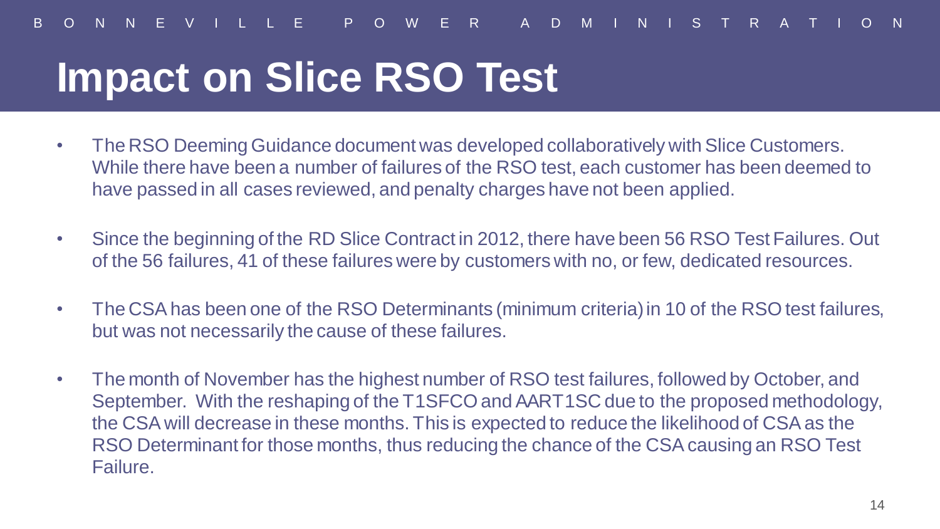- The RSO Deeming Guidance document was developed collaboratively with Slice Customers. While there have been a number of failures of the RSO test, each customer has been deemed to have passed in all cases reviewed, and penalty charges have not been applied.
- Since the beginning of the RD Slice Contract in 2012, there have been 56 RSO Test Failures. Out of the 56 failures, 41 of these failures were by customers with no, or few, dedicated resources.
- The CSA has been one of the RSO Determinants (minimum criteria) in 10 of the RSO test failures, but was not necessarily the cause of these failures.
- The month of November has the highest number of RSO test failures, followed by October, and September. With the reshaping of the T1SFCO and AART1SC due to the proposed methodology, the CSA will decrease in these months. This is expected to reduce the likelihood of CSA as the RSO Determinant for those months, thus reducing the chance of the CSA causing an RSO Test Failure.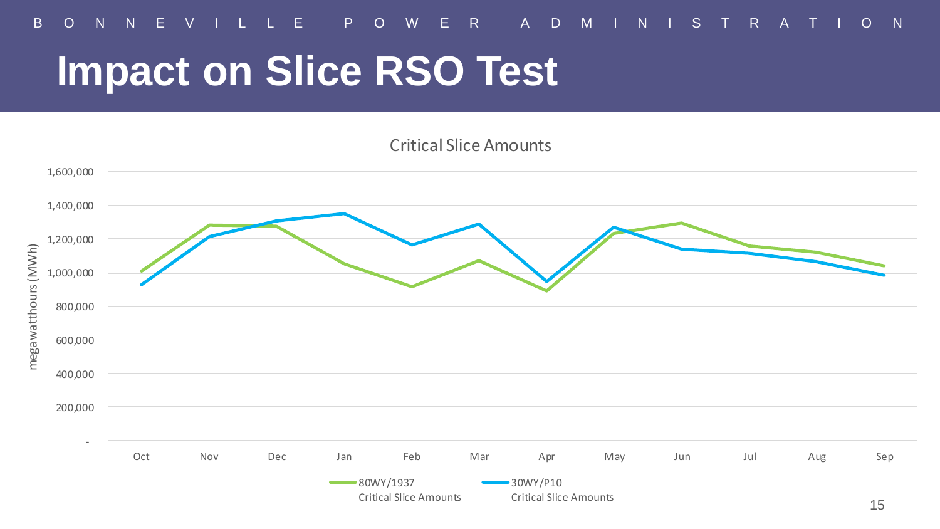

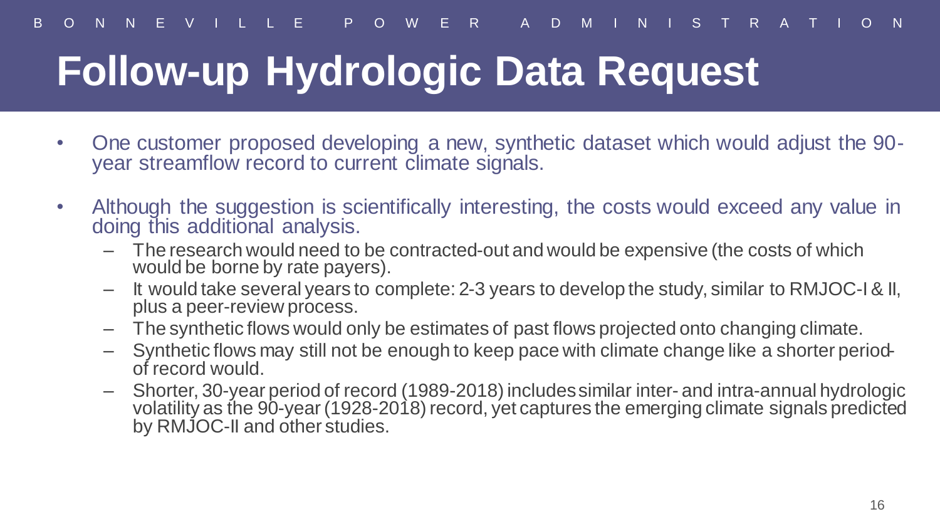# **Follow-up Hydrologic Data Request**

- One customer proposed developing a new, synthetic dataset which would adjust the 90 year streamflow record to current climate signals.
- Although the suggestion is scientifically interesting, the costs would exceed any value in doing this additional analysis.
	- The research would need to be contracted-out and would be expensive (the costs of which would be borne by rate payers).
	- It would take several years to complete: 2-3 years to develop the study, similar to RMJOC-I & II, plus a peer-review process.
	- The synthetic flows would only be estimates of past flows projected onto changing climate.
	- Synthetic flows may still not be enough to keep pace with climate change like a shorter periodof record would.
	- Shorter, 30-year period of record (1989-2018) includes similar inter- and intra-annual hydrologic volatility as the 90-year (1928-2018) record, yet captures the emerging climate signals predicted by RMJOC-II and other studies.